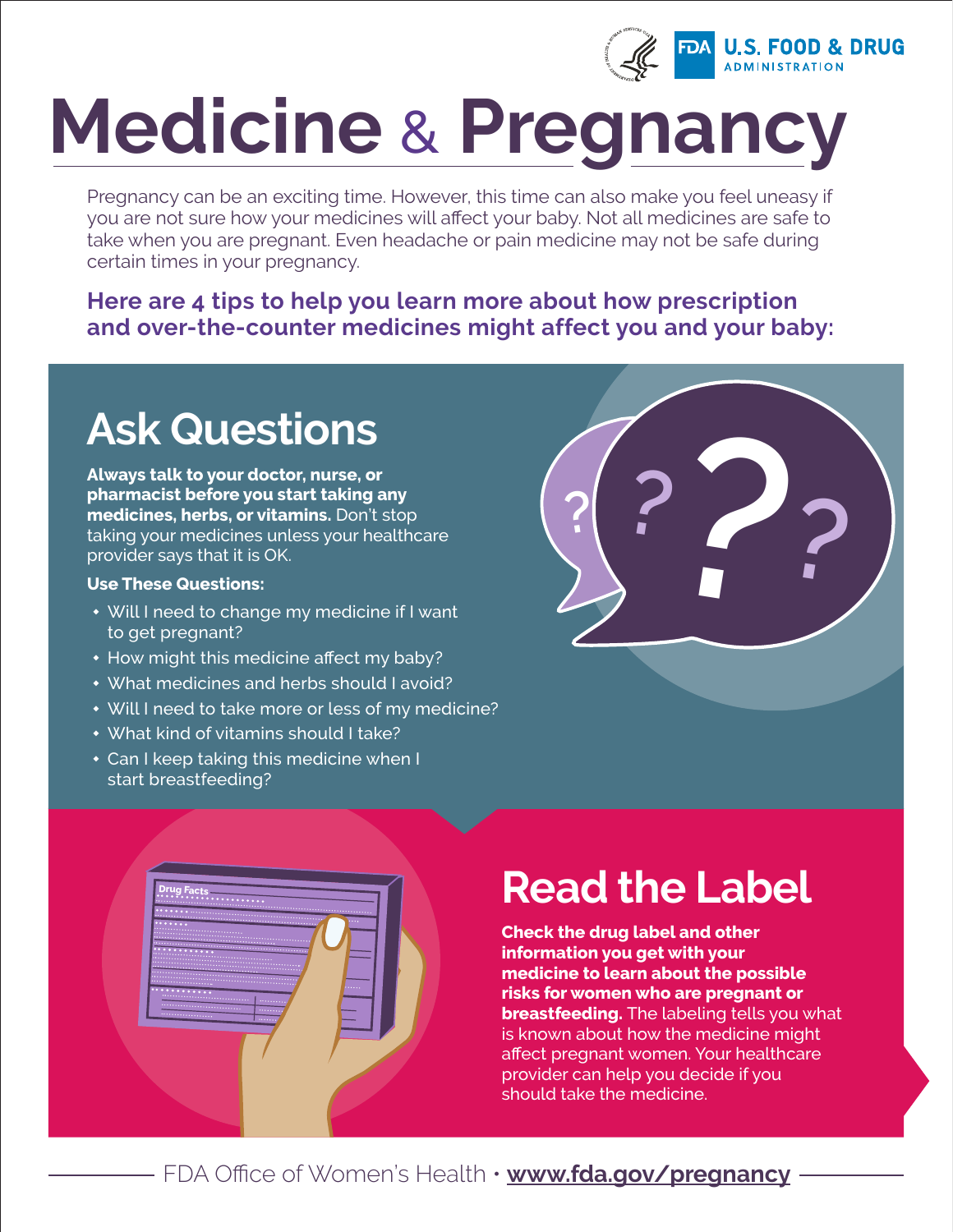

# **Medicine** & **Pregnancy**

Pregnancy can be an exciting time. However, this time can also make you feel uneasy if you are not sure how your medicines will affect your baby. Not all medicines are safe to take when you are pregnant. Even headache or pain medicine may not be safe during certain times in your pregnancy.

#### **Here are 4 tips to help you learn more about how prescription and over-the-counter medicines might affect you and your baby:**

### **Ask Questions**

**Always talk to your doctor, nurse, or pharmacist before you start taking any medicines, herbs, or vitamins.** Don't stop taking your medicines unless your healthcare provider says that it is OK.

#### **Use These Questions:**

**Drug Facts**

- Will I need to change my medicine if I want to get pregnant?
- $*$  How might this medicine affect my baby?
- w What medicines and herbs should I avoid?
- Will I need to take more or less of my medicine?
- What kind of vitamins should I take?
- $\cdot$  Can I keep taking this medicine when I start breastfeeding?



### **Read the Label**

**Check the drug label and other information you get with your medicine to learn about the possible risks for women who are pregnant or breastfeeding.** The labeling tells you what is known about how the medicine might affect pregnant women. Your healthcare provider can help you decide if you should take the medicine.

FDA Office of Women's Health • **[www.fda.gov/pregnancy](http://www.fda.gov/pregnancy)**